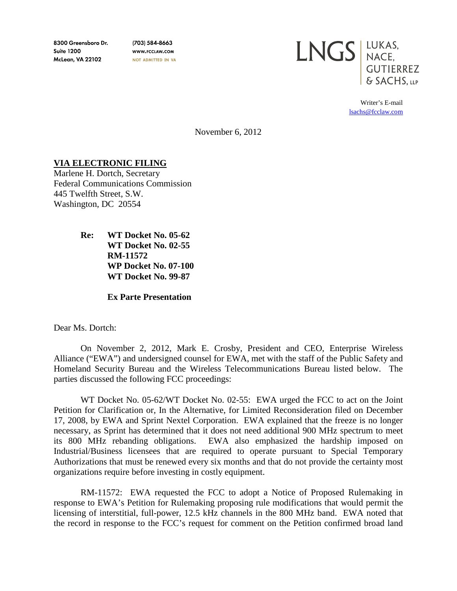8300 Greensboro Dr. **Suite 1200 McLean, VA 22102** 

(703) 584-8663 WWW.FCCLAW.COM NOT ADMITTED IN VA



Writer's E-mail [lsachs@fcclaw.com](mailto:lsachs@fcclaw.com)

November 6, 2012

## **VIA ELECTRONIC FILING**

Marlene H. Dortch, Secretary Federal Communications Commission 445 Twelfth Street, S.W. Washington, DC 20554

> **Re: WT Docket No. 05-62 WT Docket No. 02-55 RM-11572 WP Docket No. 07-100 WT Docket No. 99-87**

> > **Ex Parte Presentation**

Dear Ms. Dortch:

On November 2, 2012, Mark E. Crosby, President and CEO, Enterprise Wireless Alliance ("EWA") and undersigned counsel for EWA, met with the staff of the Public Safety and Homeland Security Bureau and the Wireless Telecommunications Bureau listed below. The parties discussed the following FCC proceedings:

WT Docket No. 05-62/WT Docket No. 02-55: EWA urged the FCC to act on the Joint Petition for Clarification or, In the Alternative, for Limited Reconsideration filed on December 17, 2008, by EWA and Sprint Nextel Corporation. EWA explained that the freeze is no longer necessary, as Sprint has determined that it does not need additional 900 MHz spectrum to meet its 800 MHz rebanding obligations. EWA also emphasized the hardship imposed on Industrial/Business licensees that are required to operate pursuant to Special Temporary Authorizations that must be renewed every six months and that do not provide the certainty most organizations require before investing in costly equipment.

RM-11572: EWA requested the FCC to adopt a Notice of Proposed Rulemaking in response to EWA's Petition for Rulemaking proposing rule modifications that would permit the licensing of interstitial, full-power, 12.5 kHz channels in the 800 MHz band. EWA noted that the record in response to the FCC's request for comment on the Petition confirmed broad land